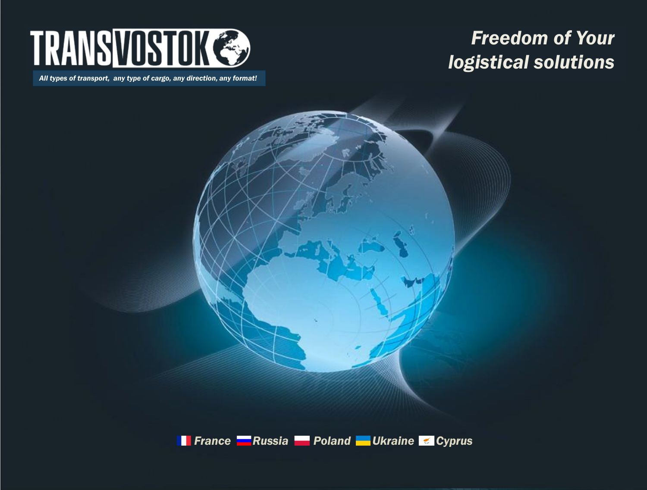

#### *All types of transport, any type of cargo, any direction, any format!*

# *Freedom of Your logistical solutions*

*Fiftherance Russia Poland Ukraine Cyprus*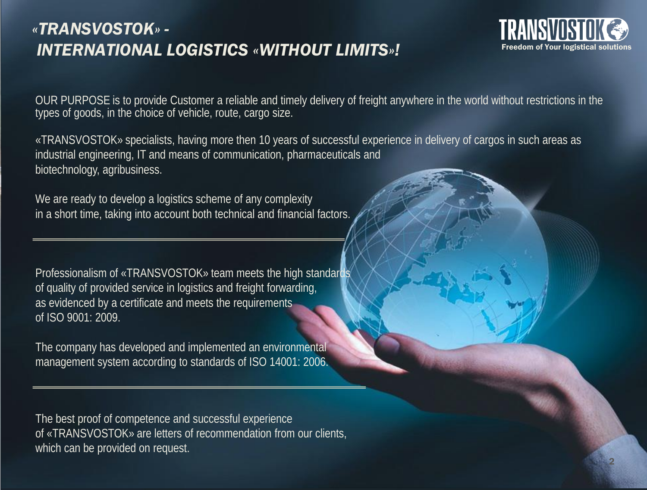## *«TRANSVOSTOK» - INTERNATIONAL LOGISTICS «WITHOUT LIMITS»!*



OUR PURPOSE is to provide Customer a reliable and timely delivery of freight anywhere in the world without restrictions in the types of goods, in the choice of vehicle, route, cargo size.

«TRANSVOSTOK» specialists, having more then 10 years of successful experience in delivery of cargos in such areas as industrial engineering, IT and means of communication, pharmaceuticals and biotechnology, agribusiness.

We are ready to develop a logistics scheme of any complexity in a short time, taking into account both technical and financial factors.

Professionalism of «TRANSVOSTOK» team meets the high standards of quality of provided service in logistics and freight forwarding, as evidenced by a certificate and meets the requirements of ISO 9001: 2009.

The company has developed and implemented an environmental management system according to standards of ISO 14001: 2006.

The best proof of competence and successful experience of «TRANSVOSTOK» are letters of recommendation from our clients, which can be provided on request.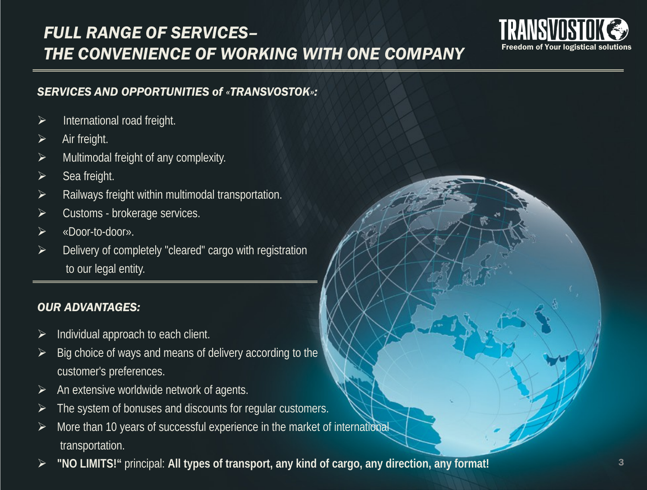# *FULL RANGE OF SERVICES– THE CONVENIENCE OF WORKING WITH ONE COMPANY*



#### *SERVICES AND OPPORTUNITIES of «TRANSVOSTOK»:*

- International road freight.
- Air freight.
- Multimodal freight of any complexity.
- Sea freight.
- $\triangleright$  Railways freight within multimodal transportation.
- Customs brokerage services.
- «Door-to-door».
- Delivery of completely "cleared" cargo with registration to our legal entity.

### *OUR ADVANTAGES:*

- Individual approach to each client.
- Big choice of ways and means of delivery according to the customer's preferences.
- An extensive worldwide network of agents.
- The system of bonuses and discounts for regular customers.
- More than 10 years of successful experience in the market of international transportation.
- **"NO LIMITS!"** principal: **All types of transport, any kind of cargo, any direction, any format!**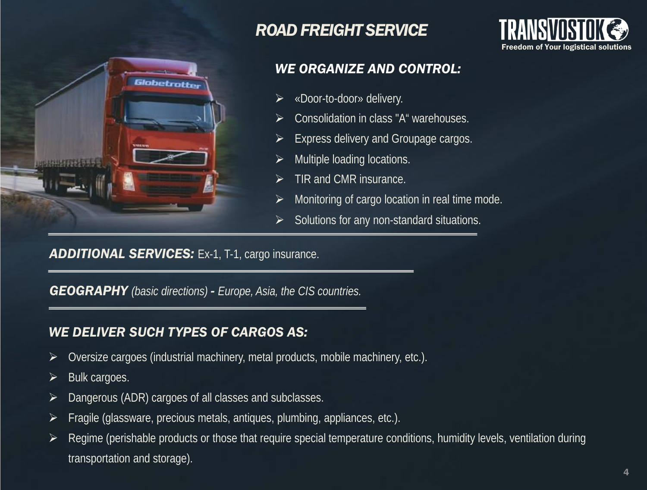

## *ROAD FREIGHT SERVICE*



### *WE ORGANIZE AND CONTROL:*

- «Door-to-door» delivery.
- Consolidation in class "A" warehouses.
- Express delivery and Groupage cargos.
- Multiple loading locations.
- TIR and CMR insurance.
- $\triangleright$  Monitoring of cargo location in real time mode.
- $\triangleright$  Solutions for any non-standard situations.

### **ADDITIONAL SERVICES:** Ex-1, T-1, cargo insurance.

*GEOGRAPHY (basic directions) - Europe, Asia, the CIS countries.*

### *WE DELIVER SUCH TYPES OF CARGOS AS:*

- $\triangleright$  Oversize cargoes (industrial machinery, metal products, mobile machinery, etc.).
- $\triangleright$  Bulk cargoes.
- Dangerous (ADR) cargoes of all classes and subclasses.
- $\triangleright$  Fragile (glassware, precious metals, antiques, plumbing, appliances, etc.).
- $\triangleright$  Regime (perishable products or those that require special temperature conditions, humidity levels, ventilation during transportation and storage).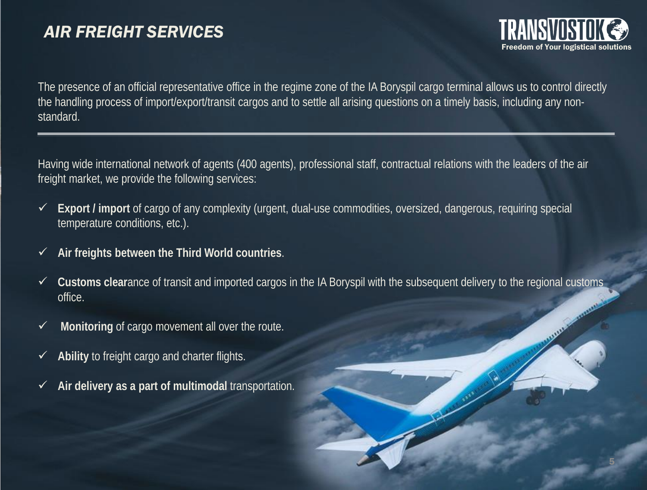# *AIR FREIGHT SERVICES*



The presence of an official representative office in the regime zone of the IA Boryspil cargo terminal allows us to control directly the handling process of import/export/transit cargos and to settle all arising questions on a timely basis, including any nonstandard.

Having wide international network of agents (400 agents), professional staff, contractual relations with the leaders of the air freight market, we provide the following services:

- **Export / import** of cargo of any complexity (urgent, dual-use commodities, oversized, dangerous, requiring special temperature conditions, etc.).
- **Air freights between the Third World countries**.
- **Customs clear**ance of transit and imported cargos in the IA Boryspil with the subsequent delivery to the regional customs office.
- **Monitoring** of cargo movement all over the route.
- **Ability** to freight cargo and charter flights.
- **Air delivery as a part of multimodal** transportation.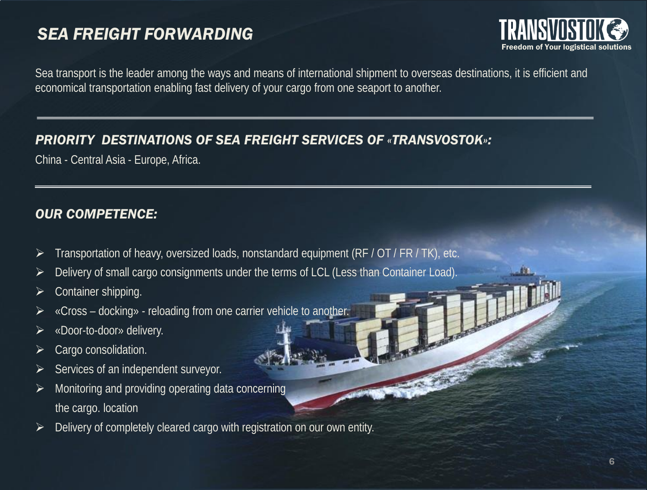## *SEA FREIGHT FORWARDING*



Sea transport is the leader among the ways and means of international shipment to overseas destinations, it is efficient and economical transportation enabling fast delivery of your cargo from one seaport to another.

### *PRIORITY DESTINATIONS OF SEA FREIGHT SERVICES OF «TRANSVOSTOK»:*

China - Central Asia - Europe, Africa.

### *OUR COMPETENCE:*

- Transportation of heavy, oversized loads, nonstandard equipment (RF / OT / FR / TK), etc.
- ▶ Delivery of small cargo consignments under the terms of LCL (Less than Container Load).
- $\triangleright$  Container shipping.
- $\triangleright$  «Cross docking» reloading from one carrier vehicle to another.
- «Door-to-door» delivery.
- Cargo consolidation.
- Services of an independent surveyor.
- Monitoring and providing operating data concerning the cargo. location
- Delivery of completely cleared cargo with registration on our own entity.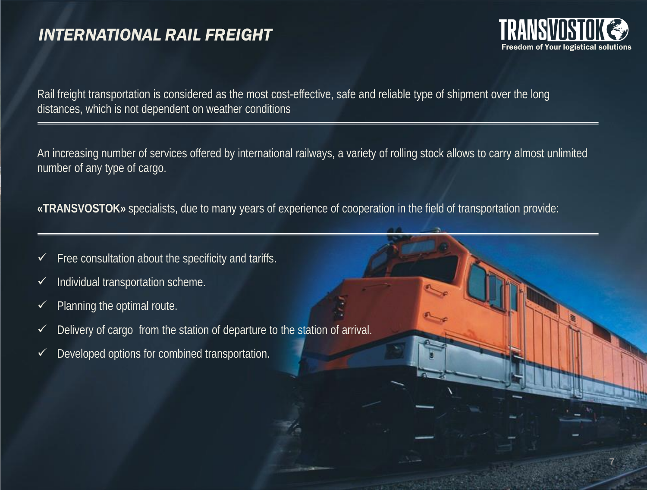### *INTERNATIONAL RAIL FREIGHT*



7

Rail freight transportation is considered as the most cost-effective, safe and reliable type of shipment over the long distances, which is not dependent on weather conditions

An increasing number of services offered by international railways, a variety of rolling stock allows to carry almost unlimited number of any type of cargo.

**«TRANSVOSTOK»** specialists, due to many years of experience of cooperation in the field of transportation provide:

- $\checkmark$  Free consultation about the specificity and tariffs.
- $\checkmark$  Individual transportation scheme.
- $\checkmark$  Planning the optimal route.
- $\checkmark$  Delivery of cargo from the station of departure to the station of arrival.
- $\checkmark$  Developed options for combined transportation.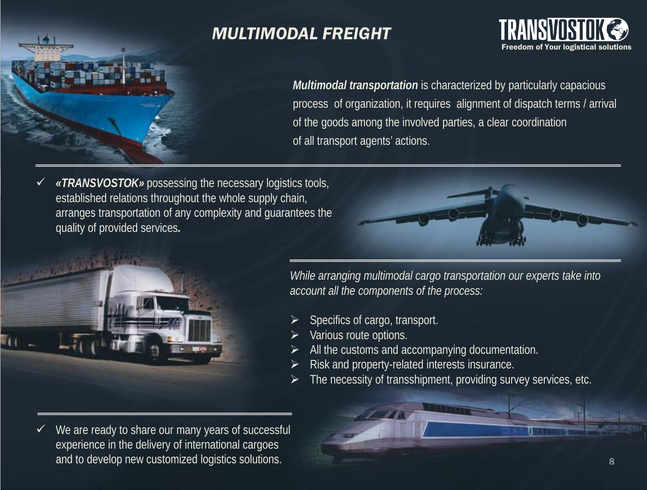

# *MULTIMODAL FREIGHT*



*Multimodal transportation* is characterized by particularly capacious process of organization, it requires alignment of dispatch terms / arrival of the goods among the involved parties, a clear coordination of all transport agents' actions.

 *«TRANSVOSTOK»* possessing the necessary logistics tools, established relations throughout the whole supply chain, arranges transportation of any complexity and guarantees the quality of provided services*.*





 $\checkmark$  We are ready to share our many years of successful experience in the delivery of international cargoes and to develop new customized logistics solutions.

*While arranging multimodal cargo transportation our experts take into account all the components of the process:*

- Specifics of cargo, transport.
- Various route options.
- All the customs and accompanying documentation.
- Risk and property-related interests insurance.
- The necessity of transshipment, providing survey services, etc.

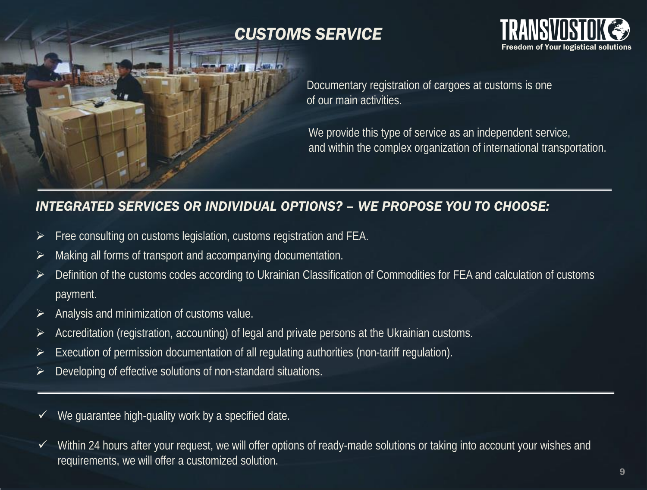

# *CUSTOMS SERVICE CUSTOMS SERVICE*



Documentary registration of cargoes at customs is one Documentary registration of cargoes at customs is one of our main activities.

we provide this type of service as an independent service, and within the complex organization of international transportation.

### *INTEGRATED SERVICES OR INDIVIDUAL OPTIONS? – WE PROPOSE YOU TO CHOOSE:*

- **Example 7 Free consulting on customs legislation, customs registration and FEA.**
- $\triangleright$  Making all forms of transport and accompanying documentation.
- Free consulting on customs legislation, customs registration and FEA.  $\triangleright$  Definition of the customs codes according to Ukrainian Classification of Commodities for FEA and calculation of customs  $D$  payment. The customs codes according to Ukrainian Classification of  $C$  and calculation of  $C$  and calculation of  $C$ payment.
- $\triangleright$  Analysis and minimization of customs value.
- $\lambda$  and distinguished in original proposition of customs value. Accreditation (registration, accounting) of legal and private persons at the Ukrainian customs. Accreditation (registration, accounting) of legal and private persons at the Ukrainian customs.
- Execution of permission documentation of all regulating authorities (non-tariff regulation). Execution of permission documentation of all regulating authorities (non-tariff regulation).
- Developing of effective solutions of non-standard situations. Developing of effective solutions of non-standard situations.
- $\checkmark$  We guarantee high-quality work by a specified date.
- ✓ Within 24 hours after your request, we will offer options of ready-made solutions or taking into account your wishes and requirements, we will offer a customized solution. requirements, we will offer a customized solution.